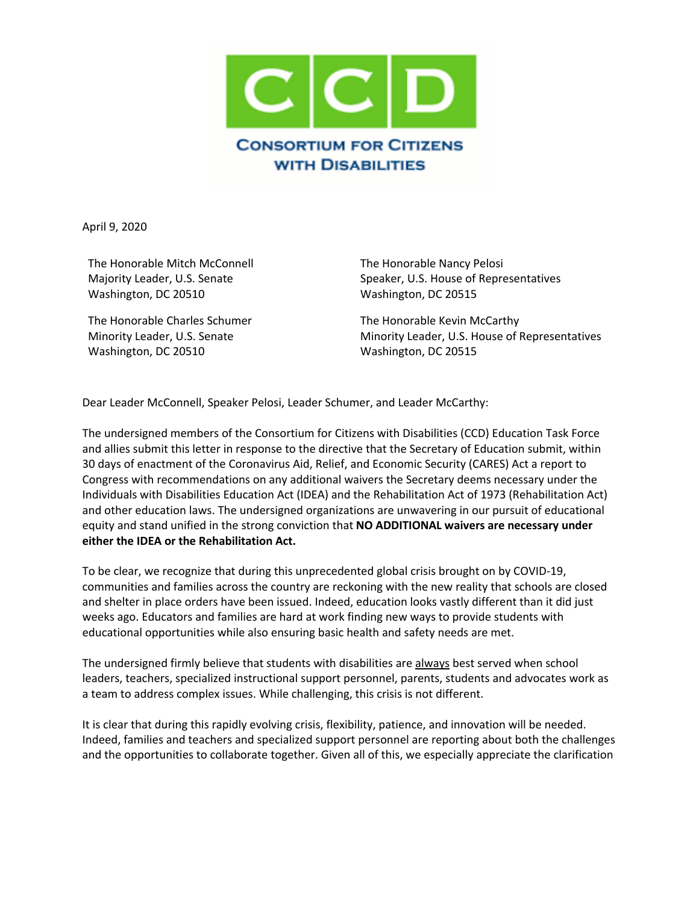

April 9, 2020

The Honorable Mitch McConnell Majority Leader, U.S. Senate Washington, DC 20510

The Honorable Charles Schumer Minority Leader, U.S. Senate Washington, DC 20510

The Honorable Nancy Pelosi Speaker, U.S. House of Representatives Washington, DC 20515

The Honorable Kevin McCarthy Minority Leader, U.S. House of Representatives Washington, DC 20515

Dear Leader McConnell, Speaker Pelosi, Leader Schumer, and Leader McCarthy:

The undersigned members of the Consortium for Citizens with Disabilities (CCD) Education Task Force and allies submit this letter in response to the directive that the Secretary of Education submit, within 30 days of enactment of the Coronavirus Aid, Relief, and Economic Security (CARES) Act a report to Congress with recommendations on any additional waivers the Secretary deems necessary under the Individuals with Disabilities Education Act (IDEA) and the Rehabilitation Act of 1973 (Rehabilitation Act) and other education laws. The undersigned organizations are unwavering in our pursuit of educational equity and stand unified in the strong conviction that **NO ADDITIONAL waivers are necessary under either the IDEA or the Rehabilitation Act.** 

To be clear, we recognize that during this unprecedented global crisis brought on by COVID-19, communities and families across the country are reckoning with the new reality that schools are closed and shelter in place orders have been issued. Indeed, education looks vastly different than it did just weeks ago. Educators and families are hard at work finding new ways to provide students with educational opportunities while also ensuring basic health and safety needs are met.

The undersigned firmly believe that students with disabilities are always best served when school leaders, teachers, specialized instructional support personnel, parents, students and advocates work as a team to address complex issues. While challenging, this crisis is not different.

It is clear that during this rapidly evolving crisis, flexibility, patience, and innovation will be needed. Indeed, families and teachers and specialized support personnel are reporting about both the challenges and the opportunities to collaborate together. Given all of this, we especially appreciate the clarification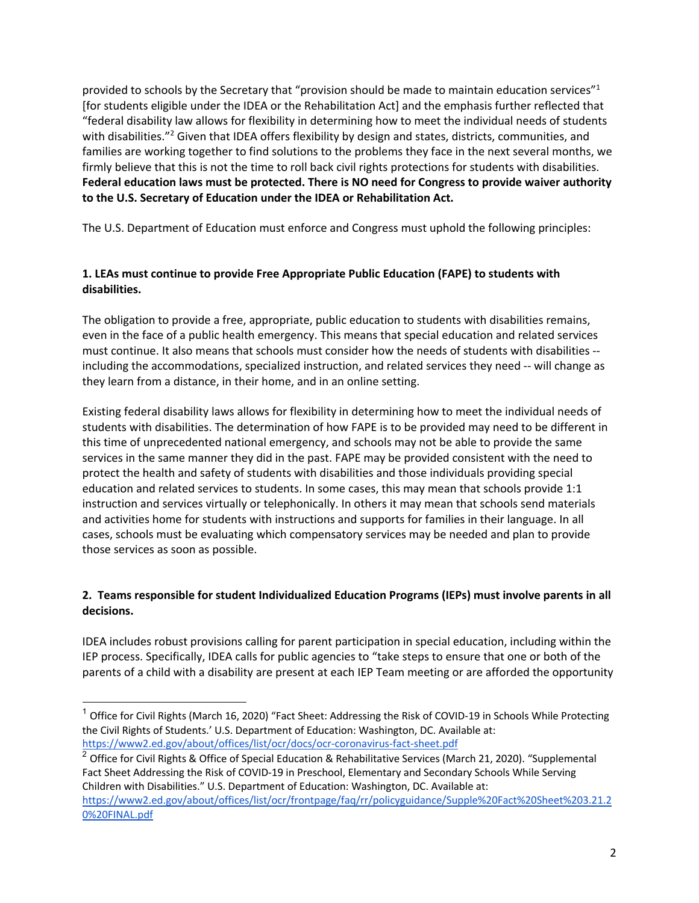provided to schools by the Secretary that "provision should be made to maintain education services" $1$ [for students eligible under the IDEA or the Rehabilitation Act] and the emphasis further reflected that "federal disability law allows for flexibility in determining how to meet the individual needs of students with disabilities."<sup>2</sup> Given that IDEA offers flexibility by design and states, districts, communities, and families are working together to find solutions to the problems they face in the next several months, we firmly believe that this is not the time to roll back civil rights protections for students with disabilities. **Federal education laws must be protected. There is NO need for Congress to provide waiver authority to the U.S. Secretary of Education under the IDEA or Rehabilitation Act.**

The U.S. Department of Education must enforce and Congress must uphold the following principles:

# **1. LEAs must continue to provide Free Appropriate Public Education (FAPE) to students with disabilities.**

The obligation to provide a free, appropriate, public education to students with disabilities remains, even in the face of a public health emergency. This means that special education and related services must continue. It also means that schools must consider how the needs of students with disabilities - including the accommodations, specialized instruction, and related services they need -- will change as they learn from a distance, in their home, and in an online setting.

Existing federal disability laws allows for flexibility in determining how to meet the individual needs of students with disabilities. The determination of how FAPE is to be provided may need to be different in this time of unprecedented national emergency, and schools may not be able to provide the same services in the same manner they did in the past. FAPE may be provided consistent with the need to protect the health and safety of students with disabilities and those individuals providing special education and related services to students. In some cases, this may mean that schools provide 1:1 instruction and services virtually or telephonically. In others it may mean that schools send materials and activities home for students with instructions and supports for families in their language. In all cases, schools must be evaluating which compensatory services may be needed and plan to provide those services as soon as possible.

## **2. Teams responsible for student Individualized Education Programs (IEPs) must involve parents in all decisions.**

IDEA includes robust provisions calling for parent participation in special education, including within the IEP process. Specifically, IDEA calls for public agencies to "take steps to ensure that one or both of the parents of a child with a disability are present at each IEP Team meeting or are afforded the opportunity

 $1$  Office for Civil Rights (March 16, 2020) "Fact Sheet: Addressing the Risk of COVID-19 in Schools While Protecting the Civil Rights of Students.' U.S. Department of Education: Washington, DC. Available at: https://www2.ed.gov/about/offices/list/ocr/docs/ocr-coronavirus-fact-sheet.pdf

<sup>&</sup>lt;sup>2</sup> Office for Civil Rights & Office of Special Education & Rehabilitative Services (March 21, 2020). "Supplemental Fact Sheet Addressing the Risk of COVID-19 in Preschool, Elementary and Secondary Schools While Serving Children with Disabilities." U.S. Department of Education: Washington, DC. Available at: https://www2.ed.gov/about/offices/list/ocr/frontpage/faq/rr/policyguidance/Supple%20Fact%20Sheet%203.21.2 0%20FINAL.pdf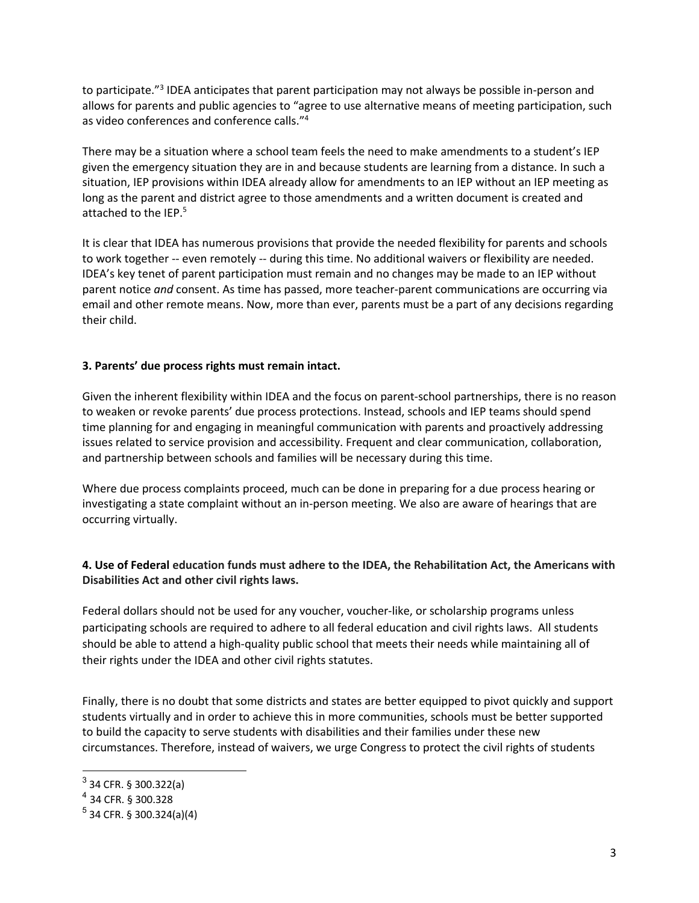to participate."3 IDEA anticipates that parent participation may not always be possible in-person and allows for parents and public agencies to "agree to use alternative means of meeting participation, such as video conferences and conference calls."4

There may be a situation where a school team feels the need to make amendments to a student's IEP given the emergency situation they are in and because students are learning from a distance. In such a situation, IEP provisions within IDEA already allow for amendments to an IEP without an IEP meeting as long as the parent and district agree to those amendments and a written document is created and attached to the IEP.<sup>5</sup>

It is clear that IDEA has numerous provisions that provide the needed flexibility for parents and schools to work together -- even remotely -- during this time. No additional waivers or flexibility are needed. IDEA's key tenet of parent participation must remain and no changes may be made to an IEP without parent notice *and* consent. As time has passed, more teacher-parent communications are occurring via email and other remote means. Now, more than ever, parents must be a part of any decisions regarding their child.

## **3. Parents' due process rights must remain intact.**

Given the inherent flexibility within IDEA and the focus on parent-school partnerships, there is no reason to weaken or revoke parents' due process protections. Instead, schools and IEP teams should spend time planning for and engaging in meaningful communication with parents and proactively addressing issues related to service provision and accessibility. Frequent and clear communication, collaboration, and partnership between schools and families will be necessary during this time.

Where due process complaints proceed, much can be done in preparing for a due process hearing or investigating a state complaint without an in-person meeting. We also are aware of hearings that are occurring virtually.

## **4. Use of Federal education funds must adhere to the IDEA, the Rehabilitation Act, the Americans with Disabilities Act and other civil rights laws.**

Federal dollars should not be used for any voucher, voucher-like, or scholarship programs unless participating schools are required to adhere to all federal education and civil rights laws. All students should be able to attend a high-quality public school that meets their needs while maintaining all of their rights under the IDEA and other civil rights statutes.

Finally, there is no doubt that some districts and states are better equipped to pivot quickly and support students virtually and in order to achieve this in more communities, schools must be better supported to build the capacity to serve students with disabilities and their families under these new circumstances. Therefore, instead of waivers, we urge Congress to protect the civil rights of students

 $3$  34 CFR. § 300.322(a)

<sup>4</sup> 34 CFR. § 300.328

 $5$  34 CFR. § 300.324(a)(4)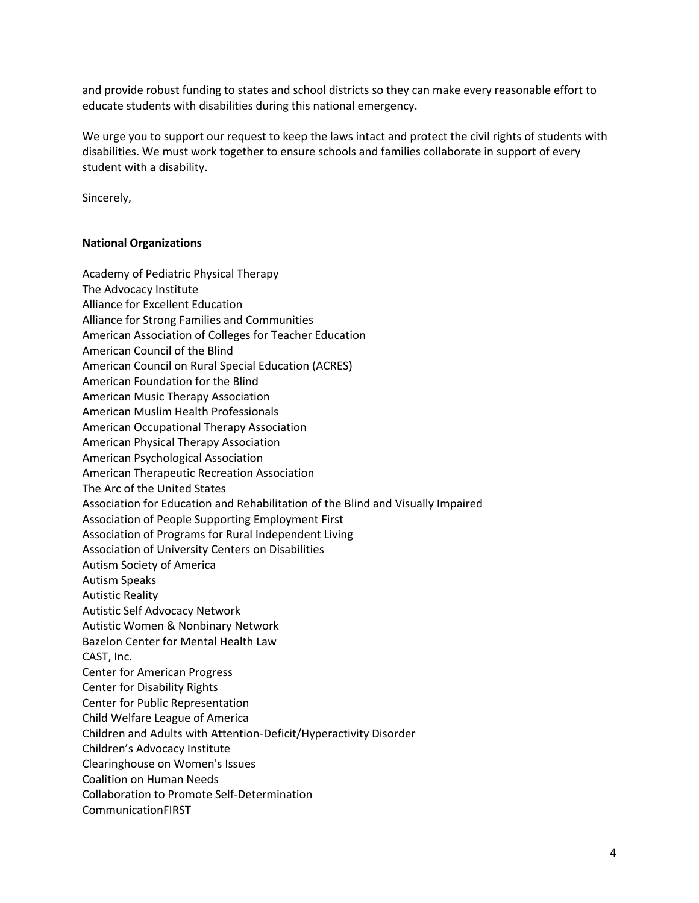and provide robust funding to states and school districts so they can make every reasonable effort to educate students with disabilities during this national emergency.

We urge you to support our request to keep the laws intact and protect the civil rights of students with disabilities. We must work together to ensure schools and families collaborate in support of every student with a disability.

Sincerely,

#### **National Organizations**

Academy of Pediatric Physical Therapy The Advocacy Institute Alliance for Excellent Education Alliance for Strong Families and Communities American Association of Colleges for Teacher Education American Council of the Blind American Council on Rural Special Education (ACRES) American Foundation for the Blind American Music Therapy Association American Muslim Health Professionals American Occupational Therapy Association American Physical Therapy Association American Psychological Association American Therapeutic Recreation Association The Arc of the United States Association for Education and Rehabilitation of the Blind and Visually Impaired Association of People Supporting Employment First Association of Programs for Rural Independent Living Association of University Centers on Disabilities Autism Society of America Autism Speaks Autistic Reality Autistic Self Advocacy Network Autistic Women & Nonbinary Network Bazelon Center for Mental Health Law CAST, Inc. Center for American Progress Center for Disability Rights Center for Public Representation Child Welfare League of America Children and Adults with Attention-Deficit/Hyperactivity Disorder Children's Advocacy Institute Clearinghouse on Women's Issues Coalition on Human Needs Collaboration to Promote Self-Determination CommunicationFIRST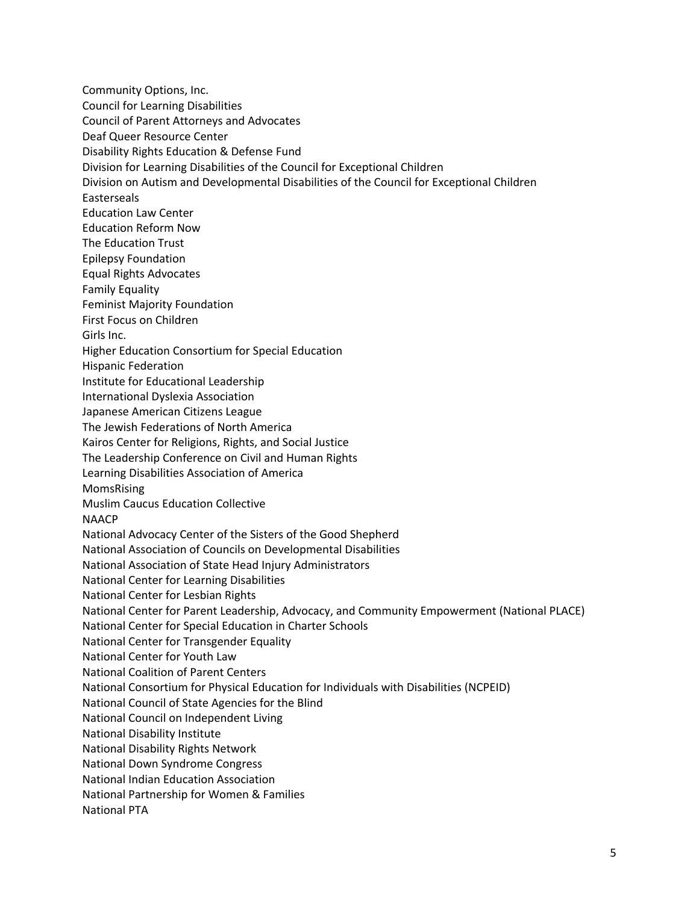Community Options, Inc. Council for Learning Disabilities Council of Parent Attorneys and Advocates Deaf Queer Resource Center Disability Rights Education & Defense Fund Division for Learning Disabilities of the Council for Exceptional Children Division on Autism and Developmental Disabilities of the Council for Exceptional Children Easterseals Education Law Center Education Reform Now The Education Trust Epilepsy Foundation Equal Rights Advocates Family Equality Feminist Majority Foundation First Focus on Children Girls Inc. Higher Education Consortium for Special Education Hispanic Federation Institute for Educational Leadership International Dyslexia Association Japanese American Citizens League The Jewish Federations of North America Kairos Center for Religions, Rights, and Social Justice The Leadership Conference on Civil and Human Rights Learning Disabilities Association of America MomsRising Muslim Caucus Education Collective NAACP National Advocacy Center of the Sisters of the Good Shepherd National Association of Councils on Developmental Disabilities National Association of State Head Injury Administrators National Center for Learning Disabilities National Center for Lesbian Rights National Center for Parent Leadership, Advocacy, and Community Empowerment (National PLACE) National Center for Special Education in Charter Schools National Center for Transgender Equality National Center for Youth Law National Coalition of Parent Centers National Consortium for Physical Education for Individuals with Disabilities (NCPEID) National Council of State Agencies for the Blind National Council on Independent Living National Disability Institute National Disability Rights Network National Down Syndrome Congress National Indian Education Association National Partnership for Women & Families National PTA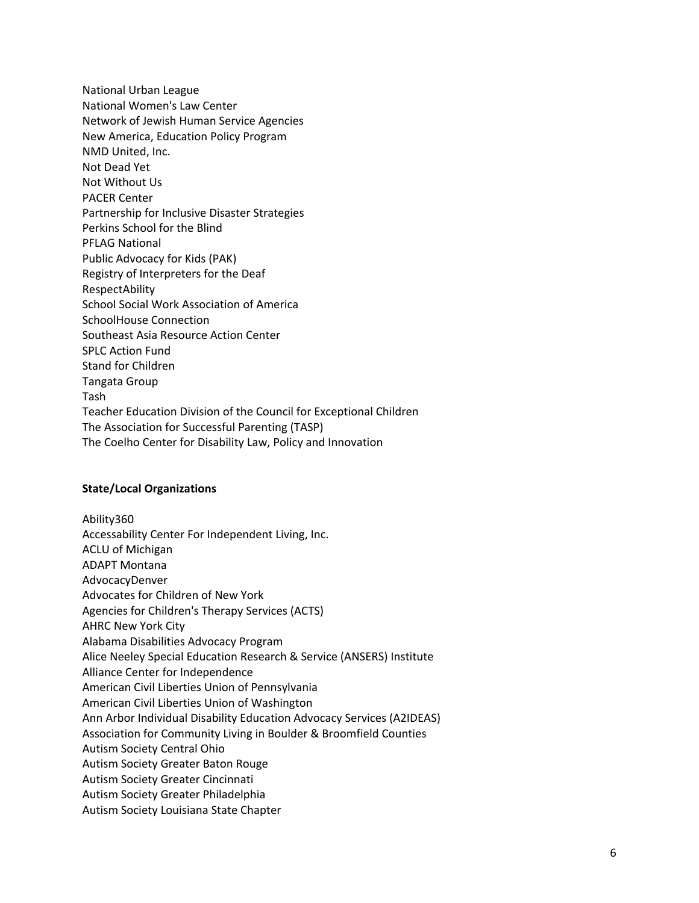National Urban League National Women's Law Center Network of Jewish Human Service Agencies New America, Education Policy Program NMD United, Inc. Not Dead Yet Not Without Us PACER Center Partnership for Inclusive Disaster Strategies Perkins School for the Blind PFLAG National Public Advocacy for Kids (PAK) Registry of Interpreters for the Deaf RespectAbility School Social Work Association of America SchoolHouse Connection Southeast Asia Resource Action Center SPLC Action Fund Stand for Children Tangata Group Tash Teacher Education Division of the Council for Exceptional Children The Association for Successful Parenting (TASP) The Coelho Center for Disability Law, Policy and Innovation

#### **State/Local Organizations**

Ability360 Accessability Center For Independent Living, Inc. ACLU of Michigan ADAPT Montana AdvocacyDenver Advocates for Children of New York Agencies for Children's Therapy Services (ACTS) AHRC New York City Alabama Disabilities Advocacy Program Alice Neeley Special Education Research & Service (ANSERS) Institute Alliance Center for Independence American Civil Liberties Union of Pennsylvania American Civil Liberties Union of Washington Ann Arbor Individual Disability Education Advocacy Services (A2IDEAS) Association for Community Living in Boulder & Broomfield Counties Autism Society Central Ohio Autism Society Greater Baton Rouge Autism Society Greater Cincinnati Autism Society Greater Philadelphia Autism Society Louisiana State Chapter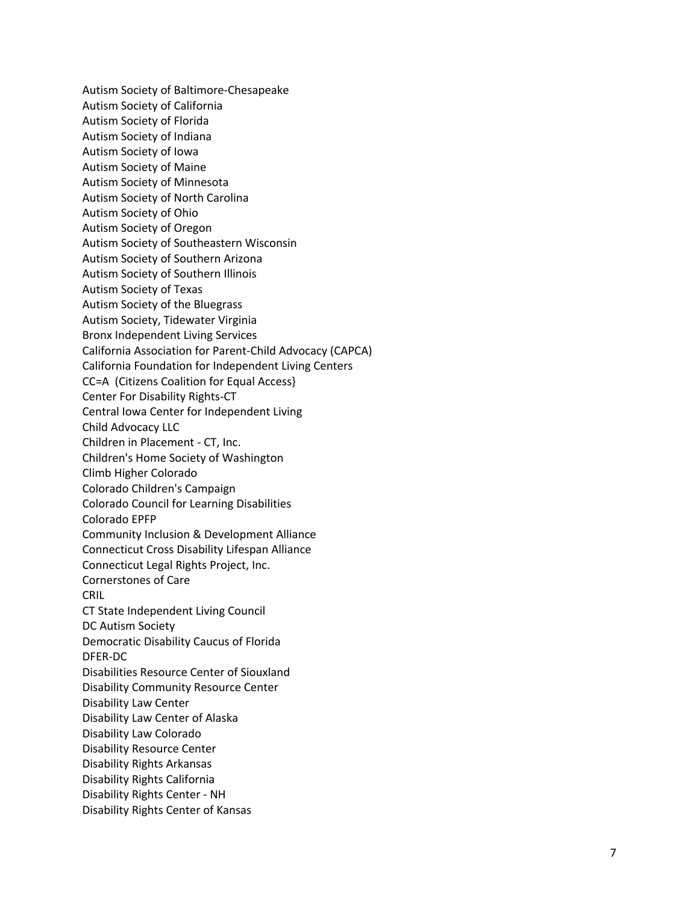Autism Society of Baltimore -Chesapeake Autism Society of California Autism Society of Florida Autism Society of Indiana Autism Society of Iowa Autism Society of Maine Autism Society of Minnesota Autism Society of North Carolina Autism Society of Ohio Autism Society of Oregon Autism Society of Southeastern Wisconsin Autism Society of Southern Arizona Autism Society of Southern Illinois Autism Society of Texas Autism Society of the Bluegrass Autism Society, Tidewater Virginia Bronx Independent Living Services California Association for Parent -Child Advocacy (CAPCA) California Foundation for Independent Living Centers CC=A (Citizens Coalition for Equal Access} Center For Disability Rights -CT Central Iowa Center for Independent Living Child Advocacy LLC Children in Placement - CT, Inc. Children's Home Society of Washington Climb Higher Colorado Colorado Children's Campaign Colorado Council for Learning Disabilities Colorado EPFP Community Inclusion & Development Alliance Connecticut Cross Disability Lifespan Alliance Connecticut Legal Rights Project, Inc. Cornerstones of Care **CRIL** CT State Independent Living Council DC Autism Society Democratic Disability Caucus of Florida DFER -DC Disabilities Resource Center of Siouxland Disability Community Resource Center Disability Law Center Disability Law Center of Alaska Disability Law Colorado Disability Resource Center Disability Rights Arkansas Disability Rights California Disability Rights Center - NH Disability Rights Center of Kansas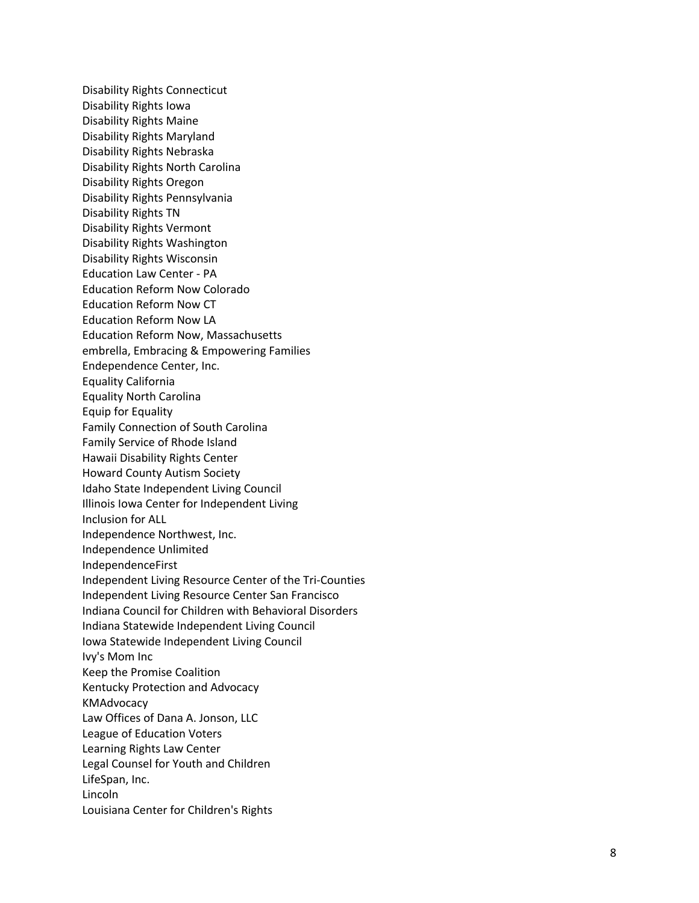Disability Rights Connecticut Disability Rights Iowa Disability Rights Maine Disability Rights Maryland Disability Rights Nebraska Disability Rights North Carolina Disability Rights Oregon Disability Rights Pennsylvania Disability Rights TN Disability Rights Vermont Disability Rights Washington Disability Rights Wisconsin Education Law Center - PA Education Reform Now Colorado Education Reform Now CT Education Reform Now LA Education Reform Now, Massachusetts embrella, Embracing & Empowering Families Endependence Center, Inc. Equality California Equality North Carolina Equip for Equality Family Connection of South Carolina Family Service of Rhode Island Hawaii Disability Rights Center Howard County Autism Society Idaho State Independent Living Council Illinois Iowa Center for Independent Living Inclusion for ALL Independence Northwe st, Inc. Independence Unlimited IndependenceFirst Independent Living Resource Center of the Tri -Counties Independent Living Resource Center San Francisco Indiana Council for Children with Behavioral Disorders Indiana Statewide Independent Living Council Iowa Statewide Independent Living Council Ivy's Mom Inc Keep the Promise Coalition Kentucky Protection and Advocacy KMAdvocacy Law Offices of Dana A. Jonson, LLC League of Education Voters Learning Rights Law Center Legal Counsel for Youth and Children LifeSpan, Inc. Lincoln Louisiana Center for Children's Rights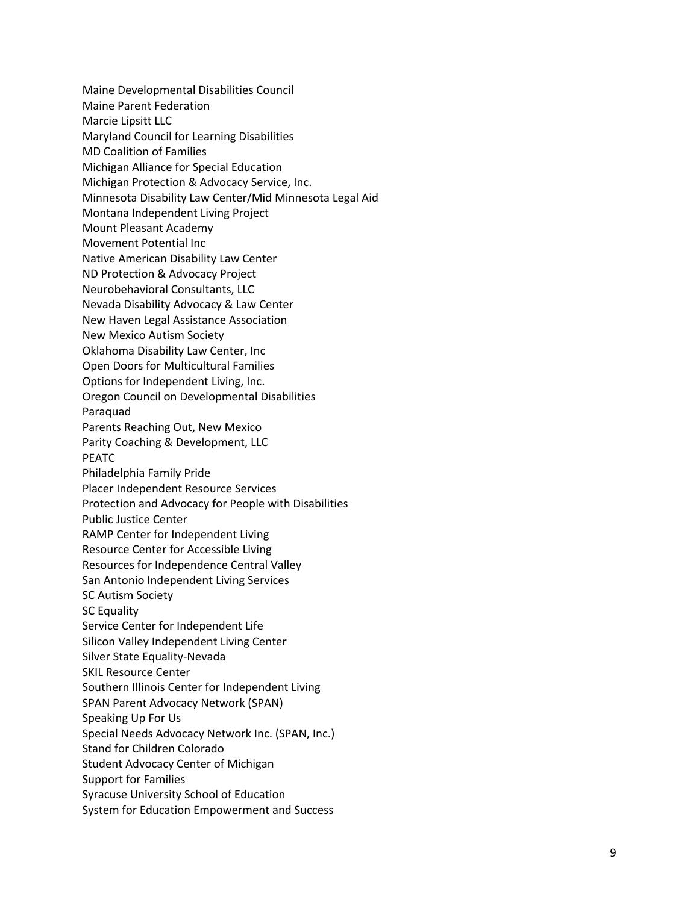Maine Developmental Disabilities Council Maine Parent Federation Marcie Lipsitt LLC Maryland Council for Learning Disabilities MD Coalition of Families Michigan Alliance for Special Education Michigan Protection & Advocacy Service, Inc. Minnesota Disability Law Center/Mid Minnesota Legal Aid Montana Independent Living Project Mount Pleasant Academy Movement Potential Inc Native American Disability Law Center ND Protection & Advocacy Project Neurobehavioral Consultants, LLC Nevada Disability Advocacy & Law Center New Haven Legal Assistance Association New Mexico Autism Society Oklahoma Disability Law Center, Inc Open Doors for Multicultural Families Options for Independent Living, Inc. Oregon Council on Developmental Disabilities Paraquad Parents Reaching Out, New Mexico Parity Coaching & Development, LLC PEATC Philadelphia Family Pride Placer Independent Resource Services Protection and Advocacy for People with Disabilities Public Justice Center RAMP Center for Independent Living Resource Center for Accessible Living Resources for Independence Central Valley San Antonio Independent Living Services SC Autism Society SC Equality Service Center for Independent Lif e Silicon Valley Independent Living Center Silver State Equality -Nevada SKIL Resource Center Southern Illinois Center for Independent Living SPAN Parent Advocacy Network (SPAN) Speaking Up For Us Special Needs Advocacy Network Inc. (SPAN, Inc.) Stand for Children Colorado Student Advocacy Center of Michigan Support for Families Syracuse University School of Education System for Education Empowerment and Success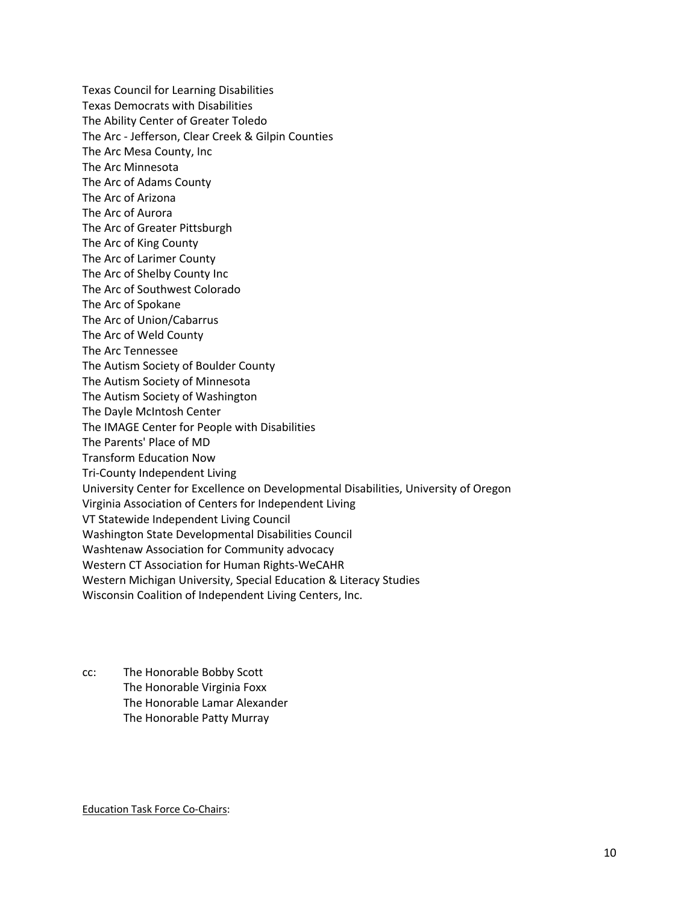Texas Council for Learning Disabilities Texas Democrats with Disabilities The Ability Center of Greater Toledo The Arc - Jefferson, Clear Creek & Gilpin Counties The Arc Mesa County, Inc The Arc Minnesota The Arc of Adams County The Arc of Arizona The Arc of Aurora The Arc of Greater Pittsburgh The Arc of King County The Arc of Larimer County The Arc of Shelby County Inc The Arc of Southwest Colorado The Arc of Spokane The Arc of Union/Cabarrus The Arc of Weld County The Arc Tennessee The Autism Society of Boulder County The Autism Society of Minnesota The Autism Society of Washington The Dayle McIntosh Center The IMAGE Center for People with Disabilities The Parents' Place of MD Transform Education Now Tri-County Independent Living University Center for Excellence on Developmental Disabilities, University of Oregon Virginia Association of Centers for Independent Living VT Statewide Independent Living Council Washington State Developmental Disabilities Council Washtenaw Association for Community advocacy Western CT Association for Human Rights-WeCAHR Western Michigan University, Special Education & Literacy Studies Wisconsin Coalition of Independent Living Centers, Inc.

cc: The Honorable Bobby Scott The Honorable Virginia Foxx The Honorable Lamar Alexander The Honorable Patty Murray

Education Task Force Co-Chairs: